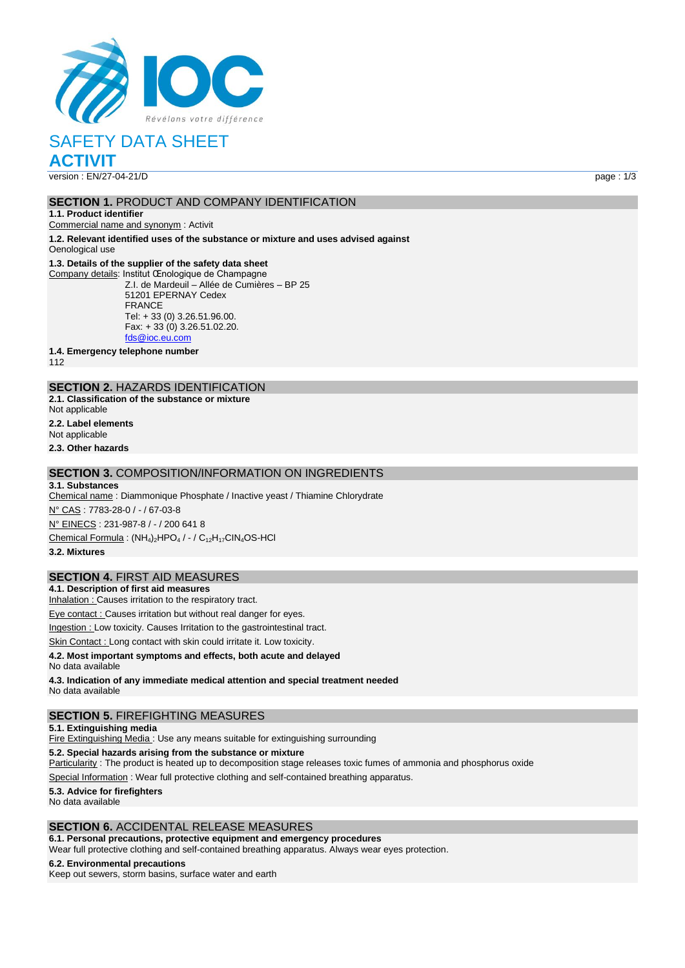

# SAFETY DATA SHEET

**ACTIVIT**

version : EN/27-04-21/D page : 1/3

### **SECTION 1.** PRODUCT AND COMPANY IDENTIFICATION

**1.1. Product identifier**

Commercial name and synonym : Activit

**1.2. Relevant identified uses of the substance or mixture and uses advised against** Oenological use

#### **1.3. Details of the supplier of the safety data sheet**

Company details: Institut Œnologique de Champagne Z.I. de Mardeuil – Allée de Cumières – BP 25 51201 EPERNAY Cedex FRANCE Tel: + 33 (0) 3.26.51.96.00. Fax: + 33 (0) 3.26.51.02.20. [fds@ioc.eu.com](mailto:fds@ioc.eu.com)

**1.4. Emergency telephone number**

112

## **SECTION 2.** HAZARDS IDENTIFICATION

**2.1. Classification of the substance or mixture** Not applicable

**2.2. Label elements** Not applicable

**2.3. Other hazards**

#### **SECTION 3.** COMPOSITION/INFORMATION ON INGREDIENTS

**3.1. Substances** Chemical name : Diammonique Phosphate / Inactive yeast / Thiamine Chlorydrate N° CAS : 7783-28-0 / - / 67-03-8 N° EINECS : 231-987-8 / - / 200 641 8 Chemical Formula :  $(NH_4)_2HPO_4/ - / C_{12}H_{17}CIN_4OS-HCl$ **3.2. Mixtures**

#### **SECTION 4.** FIRST AID MEASURES

**4.1. Description of first aid measures**

Inhalation : Causes irritation to the respiratory tract.

Eye contact : Causes irritation but without real danger for eyes.

Ingestion : Low toxicity. Causes Irritation to the gastrointestinal tract.

Skin Contact : Long contact with skin could irritate it. Low toxicity.

#### **4.2. Most important symptoms and effects, both acute and delayed** No data available

**4.3. Indication of any immediate medical attention and special treatment needed** No data available

#### **SECTION 5.** FIREFIGHTING MEASURES

**5.1. Extinguishing media**

Fire Extinguishing Media : Use any means suitable for extinguishing surrounding

**5.2. Special hazards arising from the substance or mixture**

Particularity : The product is heated up to decomposition stage releases toxic fumes of ammonia and phosphorus oxide

Special Information : Wear full protective clothing and self-contained breathing apparatus.

**5.3. Advice for firefighters** No data available

#### **SECTION 6.** ACCIDENTAL RELEASE MEASURES

#### **6.1. Personal precautions, protective equipment and emergency procedures**

Wear full protective clothing and self-contained breathing apparatus. Always wear eyes protection.

#### **6.2. Environmental precautions**

Keep out sewers, storm basins, surface water and earth

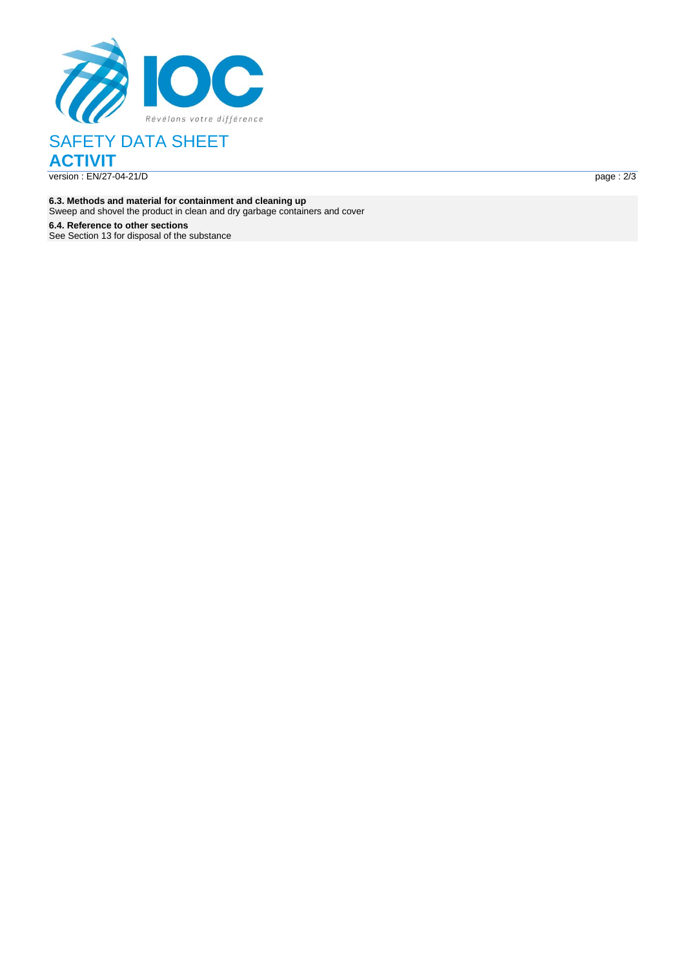

SAFETY DATA SHEET **ACTIVIT** version : EN/27-04-21/ D page : the contract of the contract of the contract of the contract of the contract of the contract of the contract of the contract of the contract of the contract of the contract of the contract of the contract of the c

**6.3. Methods and material for containment and cleaning up** Sweep and shovel the product in clean and dry garbage containers and cover

**6.4. Reference to other sections** See Section 13 for disposal of the substance  $page: 2/3$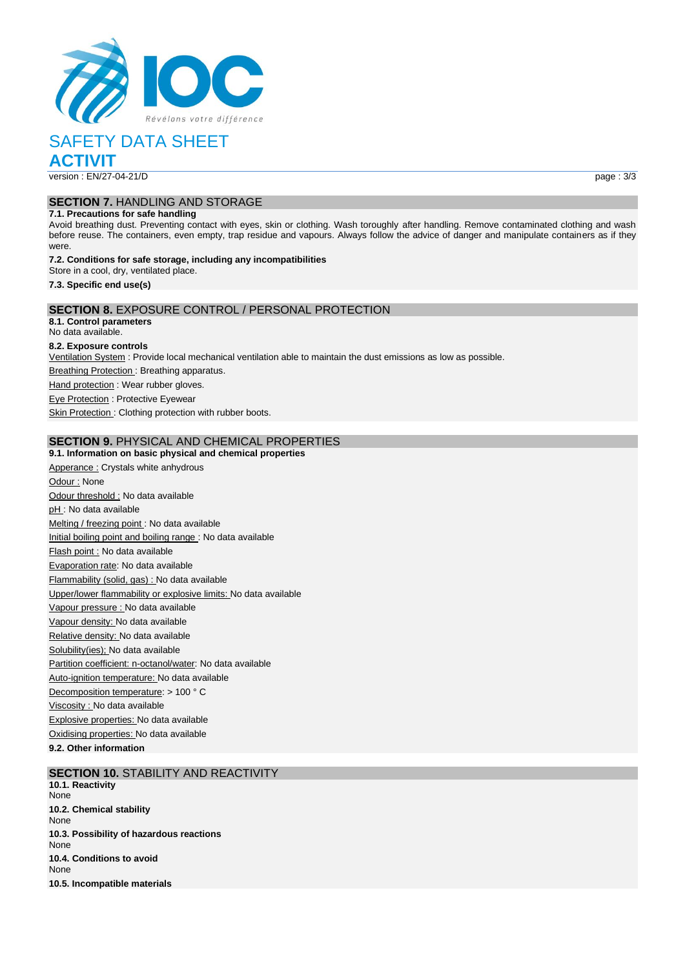

## SAFETY DATA SHEET

**ACTIVIT**

version : EN/27-04-21/D page : 3/3

## **SECTION 7.** HANDLING AND STORAGE

#### **7.1. Precautions for safe handling**

Avoid breathing dust. Preventing contact with eyes, skin or clothing. Wash toroughly after handling. Remove contaminated clothing and wash before reuse. The containers, even empty, trap residue and vapours. Always follow the advice of danger and manipulate containers as if they were.

#### **7.2. Conditions for safe storage, including any incompatibilities** Store in a cool, dry, ventilated place.

**7.3. Specific end use(s)**

## **SECTION 8.** EXPOSURE CONTROL / PERSONAL PROTECTION

**8.1. Control parameters** No data available.

#### **8.2. Exposure controls**

Ventilation System : Provide local mechanical ventilation able to maintain the dust emissions as low as possible.

**Breathing Protection: Breathing apparatus.** 

Hand protection : Wear rubber gloves.

**Eye Protection : Protective Eyewear** 

Skin Protection : Clothing protection with rubber boots.

### **SECTION 9.** PHYSICAL AND CHEMICAL PROPERTIES

## **9.1. Information on basic physical and chemical properties** Apperance : Crystals white anhydrous Odour : None Odour threshold : No data available pH : No data available Melting / freezing point : No data available Initial boiling point and boiling range : No data available Flash point : No data available Evaporation rate: No data available Flammability (solid, gas) : No data available Upper/lower flammability or explosive limits: No data available Vapour pressure : No data available Vapour density: No data available Relative density: No data available Solubility(ies); No data available Partition coefficient: n-octanol/water: No data available Auto-ignition temperature: No data available Decomposition temperature: > 100 ° C Viscosity : No data available Explosive properties: No data available Oxidising properties: No data available

**9.2. Other information**

## **SECTION 10.** STABILITY AND REACTIVITY

**10.1. Reactivity** None **10.2. Chemical stability** None **10.3. Possibility of hazardous reactions** None **10.4. Conditions to avoid** None **10.5. Incompatible materials**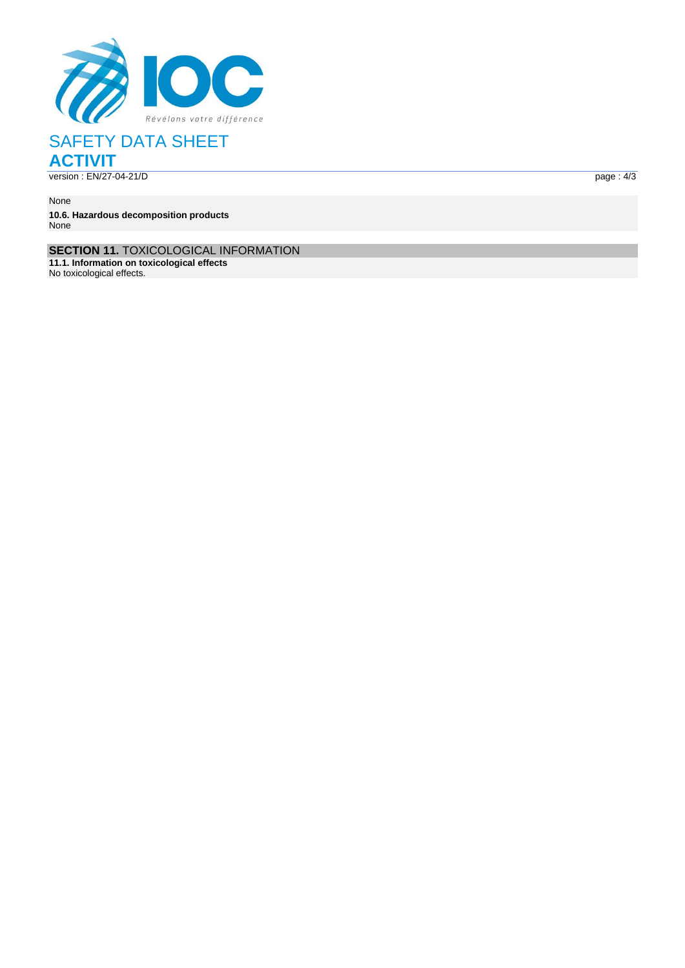

# SAFETY DATA SHEET **ACTIVIT**

version : EN/27-04-21/

D page : the contract of the contract of the contract of the contract of the contract of the contract of the contract of the contract of the contract of the contract of the contract of the contract of the contract of the c  $page: 4/3$ 

None **10.6. Hazardous decomposition products** None

**SECTION 11.** TOXICOLOGICAL INFORMATION

**11.1. Information on toxicological effects**

No toxicological effects .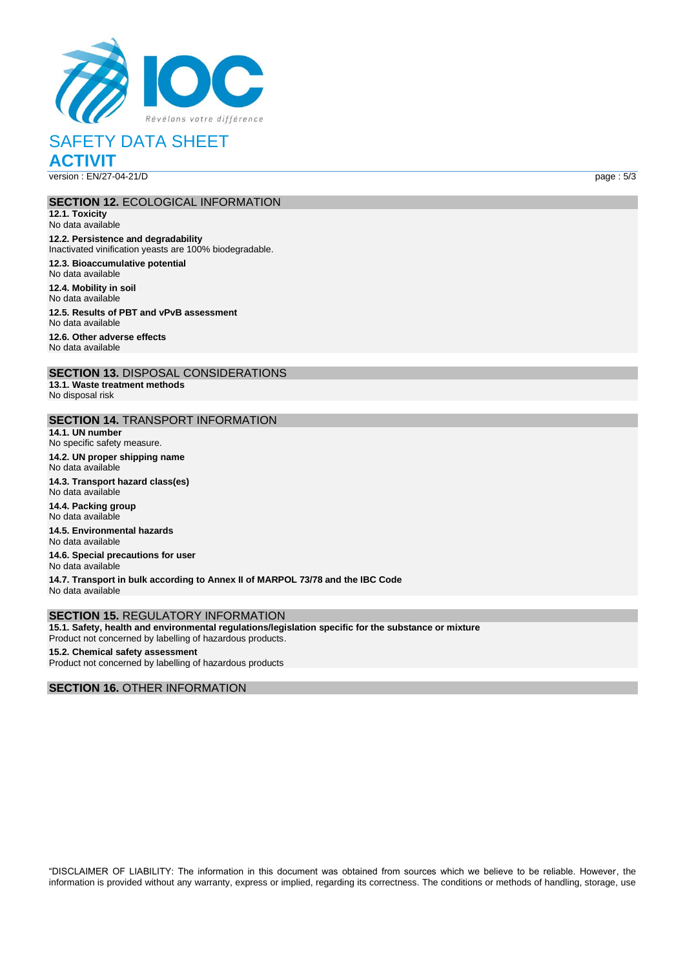

## SAFETY DATA SHEET **ACTIVIT**

version : EN/27-04-21/D page : 5/3

#### **SECTION 12.** ECOLOGICAL INFORMATION

**12.1. Toxicity** No data available **12.2. Persistence and degradability** Inactivated vinification yeasts are 100% biodegradable. **12.3. Bioaccumulative potential** No data available **12.4. Mobility in soil** No data available

**12.5. Results of PBT and vPvB assessment** No data available

**12.6. Other adverse effects** No data available

**SECTION 13.** DISPOSAL CONSIDERATIONS **13.1. Waste treatment methods** No disposal risk

### **SECTION 14.** TRANSPORT INFORMATION

**14.1. UN number** No specific safety measure. **14.2. UN proper shipping name** No data available

**14.3. Transport hazard class(es)** No data available **14.4. Packing group** No data available

**14.5. Environmental hazards** No data available

**14.6. Special precautions for user** No data available

**14.7. Transport in bulk according to Annex II of MARPOL 73/78 and the IBC Code** No data available

#### **SECTION 15.** REGULATORY INFORMATION

**15.1. Safety, health and environmental regulations/legislation specific for the substance or mixture** Product not concerned by labelling of hazardous products.

#### **15.2. Chemical safety assessment** Product not concerned by labelling of hazardous products

#### **SECTION 16.** OTHER INFORMATION

"DISCLAIMER OF LIABILITY: The information in this document was obtained from sources which we believe to be reliable. However, the information is provided without any warranty, express or implied, regarding its correctness. The conditions or methods of handling, storage, use